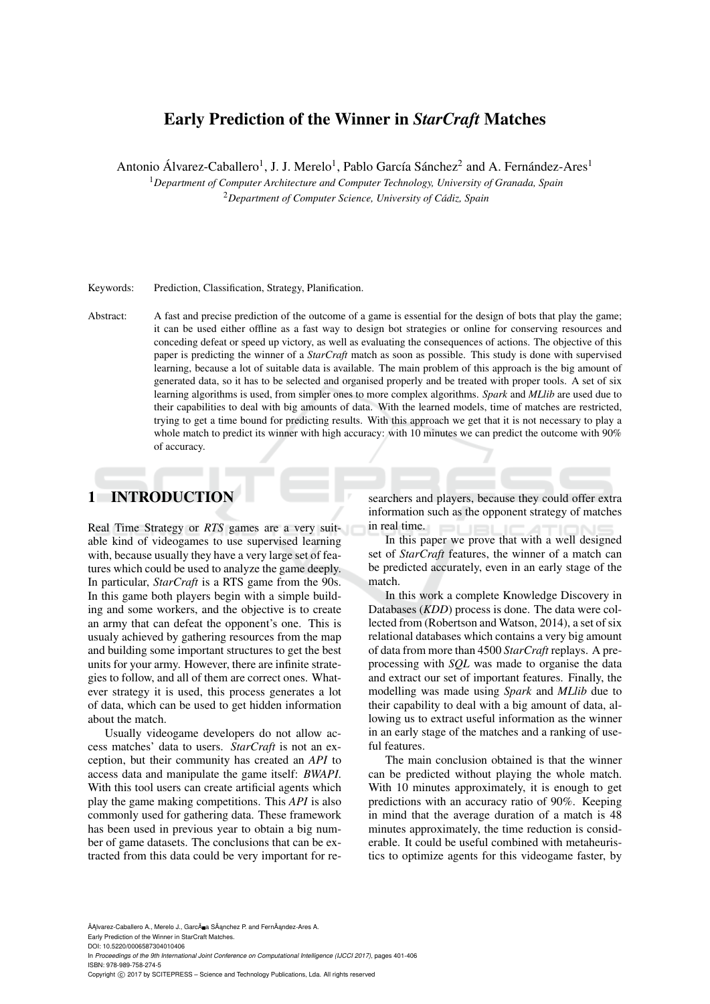# Early Prediction of the Winner in *StarCraft* Matches

Antonio Álvarez-Caballero<sup>1</sup>, J. J. Merelo<sup>1</sup>, Pablo García Sánchez<sup>2</sup> and A. Fernández-Ares<sup>1</sup>

<sup>1</sup>*Department of Computer Architecture and Computer Technology, University of Granada, Spain* <sup>2</sup>*Department of Computer Science, University of Cadiz, Spain ´*

### Keywords: Prediction, Classification, Strategy, Planification.

Abstract: A fast and precise prediction of the outcome of a game is essential for the design of bots that play the game; it can be used either offline as a fast way to design bot strategies or online for conserving resources and conceding defeat or speed up victory, as well as evaluating the consequences of actions. The objective of this paper is predicting the winner of a *StarCraft* match as soon as possible. This study is done with supervised learning, because a lot of suitable data is available. The main problem of this approach is the big amount of generated data, so it has to be selected and organised properly and be treated with proper tools. A set of six learning algorithms is used, from simpler ones to more complex algorithms. *Spark* and *MLlib* are used due to their capabilities to deal with big amounts of data. With the learned models, time of matches are restricted, trying to get a time bound for predicting results. With this approach we get that it is not necessary to play a whole match to predict its winner with high accuracy: with 10 minutes we can predict the outcome with 90% of accuracy.

# 1 INTRODUCTION

Real Time Strategy or *RTS* games are a very suitable kind of videogames to use supervised learning with, because usually they have a very large set of features which could be used to analyze the game deeply. In particular, *StarCraft* is a RTS game from the 90s. In this game both players begin with a simple building and some workers, and the objective is to create an army that can defeat the opponent's one. This is usualy achieved by gathering resources from the map and building some important structures to get the best units for your army. However, there are infinite strategies to follow, and all of them are correct ones. Whatever strategy it is used, this process generates a lot of data, which can be used to get hidden information about the match.

Usually videogame developers do not allow access matches' data to users. *StarCraft* is not an exception, but their community has created an *API* to access data and manipulate the game itself: *BWAPI*. With this tool users can create artificial agents which play the game making competitions. This *API* is also commonly used for gathering data. These framework has been used in previous year to obtain a big number of game datasets. The conclusions that can be extracted from this data could be very important for researchers and players, because they could offer extra information such as the opponent strategy of matches in real time.  $\Box$  $\Box$ 

In this paper we prove that with a well designed set of *StarCraft* features, the winner of a match can be predicted accurately, even in an early stage of the match.

In this work a complete Knowledge Discovery in Databases (*KDD*) process is done. The data were collected from (Robertson and Watson, 2014), a set of six relational databases which contains a very big amount of data from more than 4500 *StarCraft* replays. A preprocessing with *SQL* was made to organise the data and extract our set of important features. Finally, the modelling was made using *Spark* and *MLlib* due to their capability to deal with a big amount of data, allowing us to extract useful information as the winner in an early stage of the matches and a ranking of useful features.

The main conclusion obtained is that the winner can be predicted without playing the whole match. With 10 minutes approximately, it is enough to get predictions with an accuracy ratio of 90%. Keeping in mind that the average duration of a match is 48 minutes approximately, the time reduction is considerable. It could be useful combined with metaheuristics to optimize agents for this videogame faster, by

ÃĄlvarez-Caballero A., Merelo J., Garcà a SÃanchez P. and FernÃandez-Ares A. Early Prediction of the Winner in StarCraft Matches.

DOI: 10.5220/0006587304010406

In *Proceedings of the 9th International Joint Conference on Computational Intelligence (IJCCI 2017)*, pages 401-406 ISBN: 978-989-758-274-5

Copyright C 2017 by SCITEPRESS - Science and Technology Publications, Lda. All rights reserved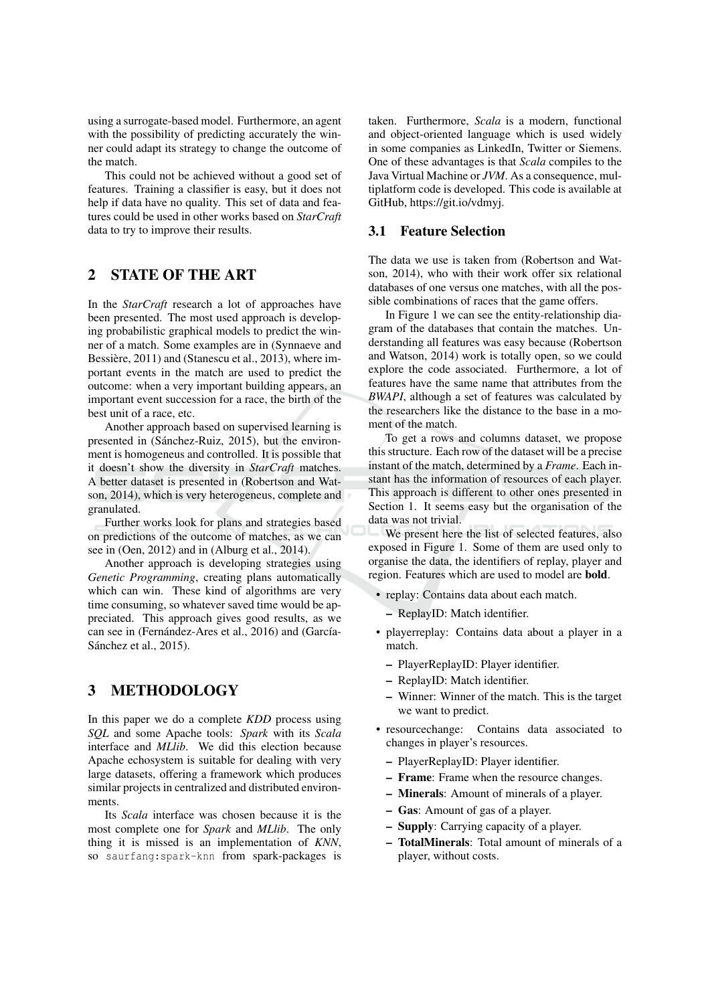using a surrogate-based model. Furthermore, an agent with the possibility of predicting accurately the winner could adapt its strategy to change the outcome of the match.

This could not be achieved without a good set of features. Training a classifier is easy, but it does not help if data have no quality. This set of data and features could be used in other works based on StarCraft data to try to improve their results.

### **STATE OF THE ART**  $\overline{2}$

In the *StarCraft* research a lot of approaches have been presented. The most used approach is developing probabilistic graphical models to predict the winner of a match. Some examples are in (Synnaeve and Bessière, 2011) and (Stanescu et al., 2013), where important events in the match are used to predict the outcome: when a very important building appears, an important event succession for a race, the birth of the best unit of a race, etc.

Another approach based on supervised learning is presented in (Sánchez-Ruiz, 2015), but the environment is homogeneus and controlled. It is possible that it doesn't show the diversity in StarCraft matches. A better dataset is presented in (Robertson and Watson, 2014), which is very heterogeneus, complete and granulated.

Further works look for plans and strategies based on predictions of the outcome of matches, as we can see in (Oen, 2012) and in (Alburg et al., 2014).

Another approach is developing strategies using Genetic Programming, creating plans automatically which can win. These kind of algorithms are very time consuming, so whatever saved time would be appreciated. This approach gives good results, as we can see in (Fernández-Ares et al., 2016) and (García-Sánchez et al., 2015).

#### **METHODOLOGY** 3

In this paper we do a complete *KDD* process using SQL and some Apache tools: Spark with its Scala interface and *MLlib*. We did this election because Apache echosystem is suitable for dealing with very large datasets, offering a framework which produces similar projects in centralized and distributed environments

Its Scala interface was chosen because it is the most complete one for Spark and MLlib. The only thing it is missed is an implementation of KNN, so saurfang: spark-knn from spark-packages is

taken. Furthermore, Scala is a modern, functional and object-oriented language which is used widely in some companies as LinkedIn, Twitter or Siemens. One of these advantages is that Scala compiles to the Java Virtual Machine or JVM. As a consequence, multiplatform code is developed. This code is available at GitHub, https://git.io/vdmyj.

### 3.1 Feature Selection

The data we use is taken from (Robertson and Watson, 2014), who with their work offer six relational databases of one versus one matches, with all the possible combinations of races that the game offers.

In Figure 1 we can see the entity-relationship diagram of the databases that contain the matches. Understanding all features was easy because (Robertson and Watson, 2014) work is totally open, so we could explore the code associated. Furthermore, a lot of features have the same name that attributes from the BWAPI, although a set of features was calculated by the researchers like the distance to the base in a moment of the match.

To get a rows and columns dataset, we propose this structure. Each row of the dataset will be a precise instant of the match, determined by a Frame. Each instant has the information of resources of each player. This approach is different to other ones presented in Section 1. It seems easy but the organisation of the data was not trivial.

We present here the list of selected features, also exposed in Figure 1. Some of them are used only to organise the data, the identifiers of replay, player and region. Features which are used to model are **bold**.

- replay: Contains data about each match.
	- ReplayID: Match identifier.
- · playerreplay: Contains data about a player in a match.
	- PlayerReplayID: Player identifier.
	- ReplayID: Match identifier.
	- Winner: Winner of the match. This is the target we want to predict.
- resource change: Contains data associated to changes in player's resources.
	- PlayerReplayID: Player identifier.
	- Frame: Frame when the resource changes.
	- Minerals: Amount of minerals of a player.
	- Gas: Amount of gas of a player.
	- Supply: Carrying capacity of a player.
	- TotalMinerals: Total amount of minerals of a player, without costs.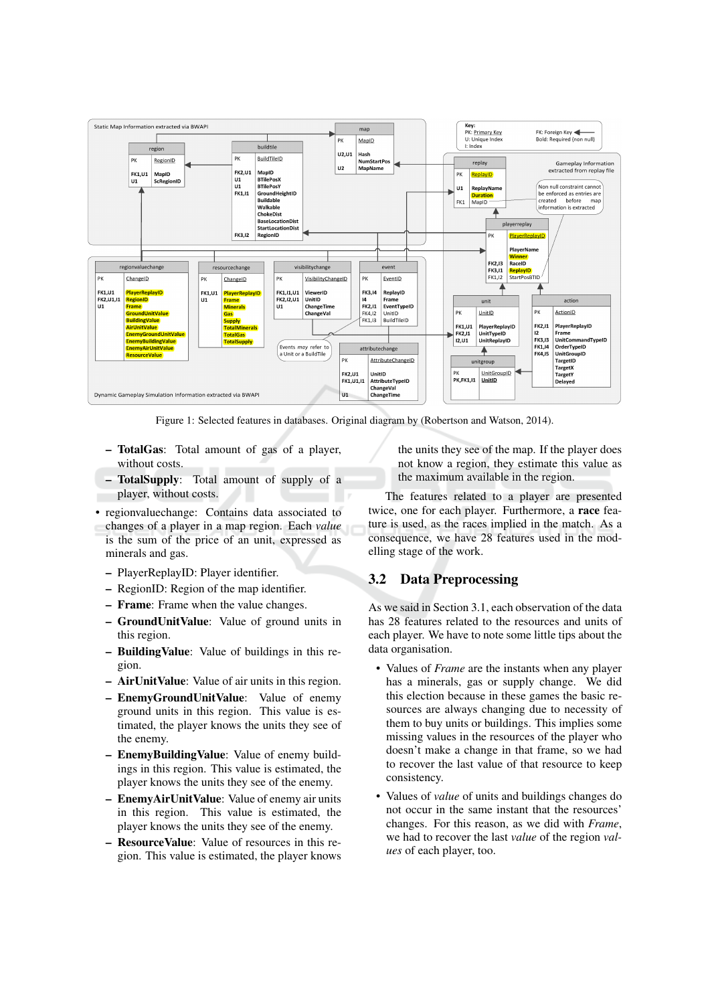

Figure 1: Selected features in databases. Original diagram by (Robertson and Watson, 2014).

- TotalGas: Total amount of gas of a player, without costs.
- TotalSupply: Total amount of supply of a player, without costs.
- regionvalue change: Contains data associated to changes of a player in a map region. Each value is the sum of the price of an unit, expressed as minerals and gas.
	- PlayerReplayID: Player identifier.
	- RegionID: Region of the map identifier.
	- Frame: Frame when the value changes.
	- GroundUnitValue: Value of ground units in this region.
	- Building Value: Value of buildings in this region.
	- AirUnitValue: Value of air units in this region.
	- EnemyGroundUnitValue: Value of enemy ground units in this region. This value is estimated, the player knows the units they see of the enemy.
	- EnemyBuildingValue: Value of enemy buildings in this region. This value is estimated, the player knows the units they see of the enemy.
	- EnemyAirUnitValue: Value of enemy air units in this region. This value is estimated, the player knows the units they see of the enemy.
	- Resource Value: Value of resources in this region. This value is estimated, the player knows

the units they see of the map. If the player does not know a region, they estimate this value as the maximum available in the region.

The features related to a player are presented twice, one for each player. Furthermore, a race feature is used, as the races implied in the match. As a consequence, we have 28 features used in the modelling stage of the work.

## 3.2 Data Preprocessing

As we said in Section 3.1, each observation of the data has 28 features related to the resources and units of each player. We have to note some little tips about the data organisation.

- Values of *Frame* are the instants when any player has a minerals, gas or supply change. We did this election because in these games the basic resources are always changing due to necessity of them to buy units or buildings. This implies some missing values in the resources of the player who doesn't make a change in that frame, so we had to recover the last value of that resource to keep consistency.
- Values of *value* of units and buildings changes do not occur in the same instant that the resources' changes. For this reason, as we did with Frame, we had to recover the last *value* of the region *val*ues of each player, too.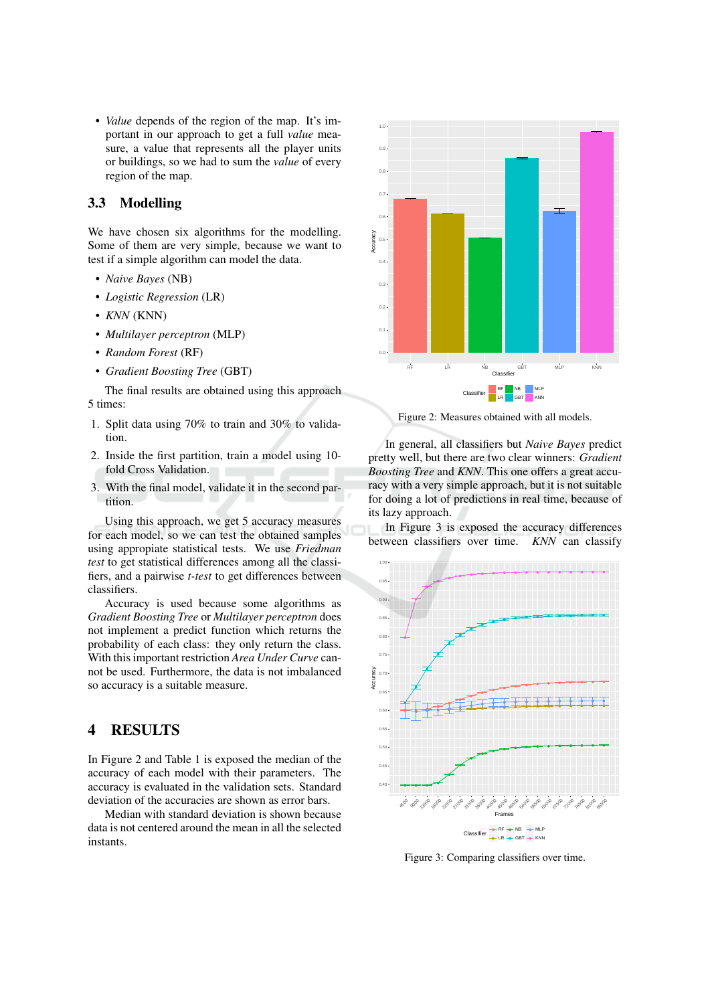• Value depends of the region of the map. It's important in our approach to get a full value measure, a value that represents all the player units or buildings, so we had to sum the value of every region of the map.

#### Modelling  $3.3<sub>1</sub>$

We have chosen six algorithms for the modelling. Some of them are very simple, because we want to test if a simple algorithm can model the data.

- Naive Bayes (NB)
- Logistic Regression (LR)
- $\bullet$  KNN (KNN)
- Multilayer perceptron (MLP)
- Random Forest (RF)
- Gradient Boosting Tree (GBT)

The final results are obtained using this approach 5 times:

- 1. Split data using 70% to train and 30% to validation.
- 2. Inside the first partition, train a model using 10fold Cross Validation.
- 3. With the final model, validate it in the second partition.

Using this approach, we get 5 accuracy measures for each model, so we can test the obtained samples using appropiate statistical tests. We use Friedman test to get statistical differences among all the classifiers, and a pairwise *t-test* to get differences between classifiers.

Accuracy is used because some algorithms as Gradient Boosting Tree or Multilayer perceptron does not implement a predict function which returns the probability of each class: they only return the class. With this important restriction Area Under Curve cannot be used. Furthermore, the data is not imbalanced so accuracy is a suitable measure.

#### **RESULTS**  $\overline{\mathbf{4}}$

In Figure 2 and Table 1 is exposed the median of the accuracy of each model with their parameters. The accuracy is evaluated in the validation sets. Standard deviation of the accuracies are shown as error bars.

Median with standard deviation is shown because data is not centered around the mean in all the selected instants.



Figure 2: Measures obtained with all models.

In general, all classifiers but *Naive Bayes* predict pretty well, but there are two clear winners: Gradient *Boosting Tree and KNN.* This one offers a great accuracy with a very simple approach, but it is not suitable for doing a lot of predictions in real time, because of its lazy approach.

In Figure 3 is exposed the accuracy differences between classifiers over time. KNN can classify



Figure 3: Comparing classifiers over time.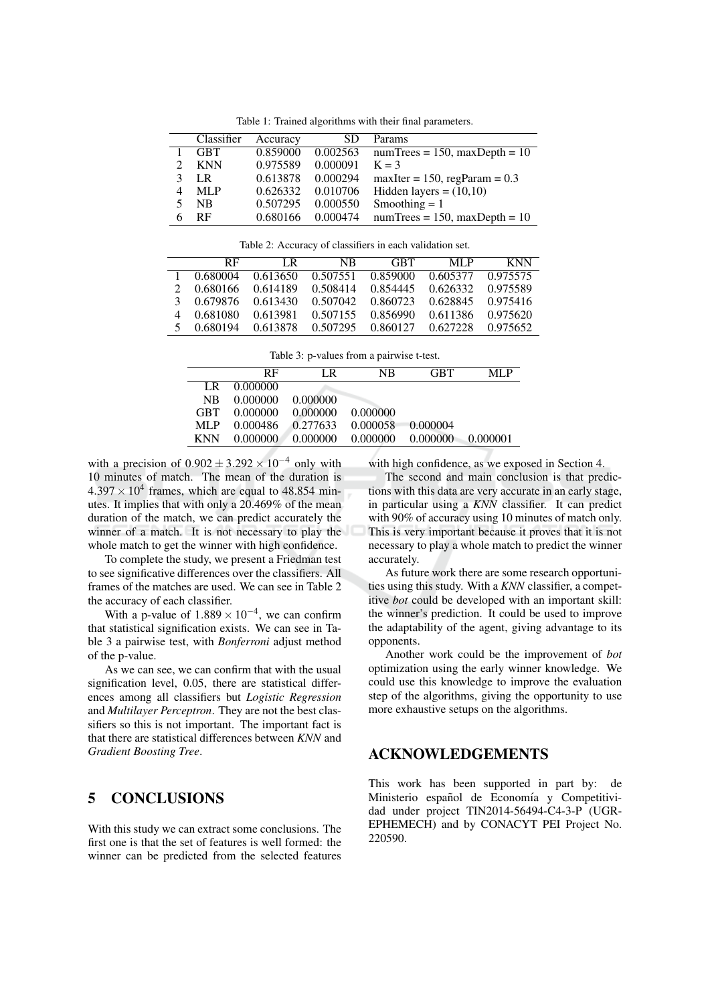Table 1: Trained algorithms with their final parameters.

| Classifier | Accuracy | <b>SD</b> | Params                                   |
|------------|----------|-----------|------------------------------------------|
| <b>GBT</b> | 0.859000 |           | $0.002563$ numTrees = 150, maxDepth = 10 |
| <b>KNN</b> | 0.975589 | 0.000091  | $K = 3$                                  |
| LR         | 0.613878 | 0.000294  | $maxIter = 150, regParam = 0.3$          |
| ML P       | 0.626332 | 0.010706  | Hidden layers = $(10,10)$                |
| <b>NB</b>  | 0.507295 | 0.000550  | Smoothing $= 1$                          |
| RF         | 0.680166 | 0.000474  | $numTrees = 150$ , $maxDepth = 10$       |

Table 2: Accuracy of classifiers in each validation set.

| <b>RF</b>  | LR.      | NB. | GRT.                                                    | MLP      | <b>KNN</b> |
|------------|----------|-----|---------------------------------------------------------|----------|------------|
|            |          |     | 1 0.680004 0.613650 0.507551 0.859000 0.605377 0.975575 |          |            |
|            |          |     | 0.680166 0.614189 0.508414 0.854445 0.626332 0.975589   |          |            |
|            |          |     | 0.679876 0.613430 0.507042 0.860723 0.628845 0.975416   |          |            |
| 0.681080   | 0.613981 |     | 0.507155 0.856990                                       | 0.611386 | 0.975620   |
| 5 0.680194 |          |     | 0.613878 0.507295 0.860127 0.627228 0.975652            |          |            |

| Table 3: p-values from a pairwise t-test. |  |  |
|-------------------------------------------|--|--|
|                                           |  |  |

|                | RF       | LR                | NB.                        | <b>GRT</b> | ML P      |
|----------------|----------|-------------------|----------------------------|------------|-----------|
| LR.            | 0.000000 |                   |                            |            |           |
| N <sub>R</sub> | 0.000000 | 0.000000          |                            |            |           |
| <b>GBT</b>     |          | 0.000000 0.000000 | 0.000000                   |            |           |
| MLP.           | 0.000486 |                   | 0.277633 0.000058 0.000004 |            |           |
| <b>KNN</b>     | 0.000000 | 0.000000          | 0.000000 0.000000          |            | -0.000001 |

with a precision of  $0.902 \pm 3.292 \times 10^{-4}$  only with 10 minutes of match. The mean of the duration is  $4.397 \times 10^4$  frames, which are equal to 48.854 minutes. It implies that with only a 20.469% of the mean duration of the match, we can predict accurately the winner of a match. It is not necessary to play the whole match to get the winner with high confidence.

To complete the study, we present a Friedman test to see significative differences over the classifiers. All frames of the matches are used. We can see in Table 2 the accuracy of each classifier.

With a p-value of  $1.889 \times 10^{-4}$ , we can confirm that statistical signification exists. We can see in Table 3 a pairwise test, with *Bonferroni* adjust method of the p-value.

As we can see, we can confirm that with the usual signification level, 0.05, there are statistical differences among all classifiers but Logistic Regression and Multilayer Perceptron. They are not the best classifiers so this is not important. The important fact is that there are statistical differences between KNN and **Gradient Boosting Tree.** 

#### 5 **CONCLUSIONS**

With this study we can extract some conclusions. The first one is that the set of features is well formed: the winner can be predicted from the selected features

with high confidence, as we exposed in Section 4.

The second and main conclusion is that predictions with this data are very accurate in an early stage, in particular using a KNN classifier. It can predict with 90% of accuracy using 10 minutes of match only. This is very important because it proves that it is not necessary to play a whole match to predict the winner accurately.

As future work there are some research opportunities using this study. With a KNN classifier, a competitive bot could be developed with an important skill: the winner's prediction. It could be used to improve the adaptability of the agent, giving advantage to its opponents.

Another work could be the improvement of bot optimization using the early winner knowledge. We could use this knowledge to improve the evaluation step of the algorithms, giving the opportunity to use more exhaustive setups on the algorithms.

### **ACKNOWLEDGEMENTS**

This work has been supported in part by: de Ministerio español de Economía y Competitividad under project TIN2014-56494-C4-3-P (UGR-EPHEMECH) and by CONACYT PEI Project No. 220590.